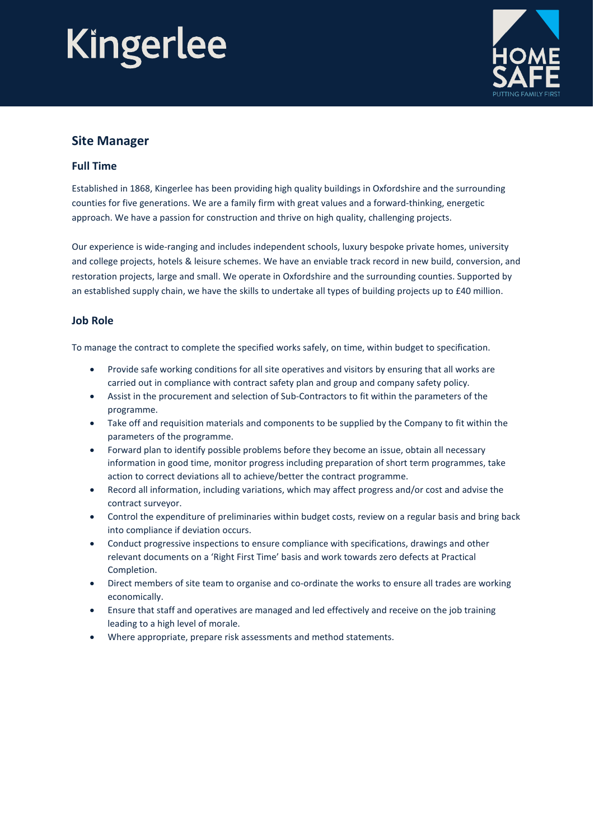# Kingerlee



### **Site Manager**

#### **Full Time**

Established in 1868, Kingerlee has been providing high quality buildings in Oxfordshire and the surrounding counties for five generations. We are a family firm with great values and a forward-thinking, energetic approach. We have a passion for construction and thrive on high quality, challenging projects.

Our experience is wide-ranging and includes independent schools, luxury bespoke private homes, university and college projects, hotels & leisure schemes. We have an enviable track record in new build, conversion, and restoration projects, large and small. We operate in Oxfordshire and the surrounding counties. Supported by an established supply chain, we have the skills to undertake all types of building projects up to £40 million.

#### **Job Role**

To manage the contract to complete the specified works safely, on time, within budget to specification.

- Provide safe working conditions for all site operatives and visitors by ensuring that all works are carried out in compliance with contract safety plan and group and company safety policy.
- Assist in the procurement and selection of Sub-Contractors to fit within the parameters of the programme.
- Take off and requisition materials and components to be supplied by the Company to fit within the parameters of the programme.
- Forward plan to identify possible problems before they become an issue, obtain all necessary information in good time, monitor progress including preparation of short term programmes, take action to correct deviations all to achieve/better the contract programme.
- Record all information, including variations, which may affect progress and/or cost and advise the contract surveyor.
- Control the expenditure of preliminaries within budget costs, review on a regular basis and bring back into compliance if deviation occurs.
- Conduct progressive inspections to ensure compliance with specifications, drawings and other relevant documents on a 'Right First Time' basis and work towards zero defects at Practical Completion.
- Direct members of site team to organise and co-ordinate the works to ensure all trades are working economically.
- Ensure that staff and operatives are managed and led effectively and receive on the job training leading to a high level of morale.
- Where appropriate, prepare risk assessments and method statements.